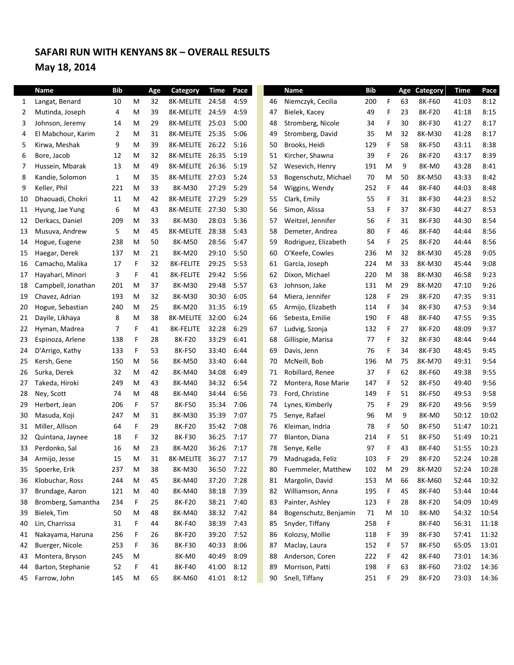# **SAFARI RUN WITH KENYANS 8K – OVERALL RESULTS May 18, 2014**

|    | Name               | <b>Bib</b> |    | Age | Category        | <b>Time</b> | Pace |    | Name                  | <b>Bib</b> |   | Age | Category | <b>Time</b> | Pace  |
|----|--------------------|------------|----|-----|-----------------|-------------|------|----|-----------------------|------------|---|-----|----------|-------------|-------|
| 1  | Langat, Benard     | 10         | M  | 32  | 8K-MELITE 24:58 |             | 4:59 | 46 | Niemczyk, Cecilia     | 200        | F | 63  | 8K-F60   | 41:03       | 8:12  |
| 2  | Mutinda, Joseph    | 4          | M  | 39  | 8K-MELITE 24:59 |             | 4:59 | 47 | Bielek, Kacey         | 49         | F | 23  | 8K-F20   | 41:18       | 8:15  |
| 3  | Johnson, Jeremy    | 14         | M  | 29  | 8K-MELITE       | 25:03       | 5:00 | 48 | Stromberg, Nicole     | 34         | F | 30  | 8K-F30   | 41:27       | 8:17  |
| 4  | El Mabchour, Karim | 2          | M  | 31  | 8K-MELITE 25:35 |             | 5:06 | 49 | Stromberg, David      | 35         | M | 32  | 8K-M30   | 41:28       | 8:17  |
| 5  | Kirwa, Meshak      | 9          | M  | 39  | 8K-MELITE 26:22 |             | 5:16 | 50 | Brooks, Heidi         | 129        | F | 58  | 8K-F50   | 43:11       | 8:38  |
| 6  | Bore, Jacob        | 12         | M  | 32  | 8K-MELITE 26:35 |             | 5:19 | 51 | Kircher, Shawna       | 39         | F | 26  | 8K-F20   | 43:17       | 8:39  |
| 7  | Hussein, Mbarak    | 13         | М  | 49  | 8K-MELITE 26:36 |             | 5:19 | 52 | Wesevich, Henry       | 191        | M | 9   | 8K-M0    | 43:28       | 8:41  |
| 8  | Kandie, Solomon    | 1          | М  | 35  | 8K-MELITE 27:03 |             | 5:24 | 53 | Bogenschutz, Michael  | 70         | M | 50  | 8K-M50   | 43:33       | 8:42  |
| 9  | Keller, Phil       | 221        | M  | 33  | 8K-M30          | 27:29       | 5:29 | 54 | Wiggins, Wendy        | 252        | F | 44  | 8K-F40   | 44:03       | 8:48  |
| 10 | Dhaouadi, Chokri   | 11         | M  | 42  | 8K-MELITE       | 27:29       | 5:29 | 55 | Clark, Emily          | 55         | F | 31  | 8K-F30   | 44:23       | 8:52  |
| 11 | Hyung, Jae Yung    | 6          | M  | 43  | 8K-MELITE       | 27:30       | 5:30 | 56 | Simon, Alissa         | 53         | F | 37  | 8K-F30   | 44:27       | 8:53  |
| 12 | Derkacs, Daniel    | 209        | М  | 33  | 8K-M30          | 28:03       | 5:36 | 57 | Weitzel, Jennifer     | 56         | F | 31  | 8K-F30   | 44:30       | 8:54  |
| 13 | Musuva, Andrew     | 5          | М  | 45  | 8K-MELITE       | 28:38       | 5:43 | 58 | Demeter, Andrea       | 80         | F | 46  | 8K-F40   | 44:44       | 8:56  |
| 14 | Hogue, Eugene      | 238        | M  | 50  | 8K-M50          | 28:56       | 5:47 | 59 | Rodriguez, Elizabeth  | 54         | F | 25  | 8K-F20   | 44:44       | 8:56  |
| 15 | Haegar, Derek      | 137        | М  | 21  | 8K-M20          | 29:10       | 5:50 | 60 | O'Keefe, Cowles       | 236        | M | 32  | 8K-M30   | 45:28       | 9:05  |
| 16 | Camacho, Malika    | 17         | F  | 32  | 8K-FELITE       | 29:25       | 5:53 | 61 | Garcia, Joseph        | 224        | M | 33  | 8K-M30   | 45:44       | 9:08  |
| 17 | Hayahari, Minori   | 3          | F  | 41  | 8K-FELITE       | 29:42       | 5:56 | 62 | Dixon, Michael        | 220        | M | 38  | 8K-M30   | 46:58       | 9:23  |
| 18 | Campbell, Jonathan | 201        | M  | 37  | 8K-M30          | 29:48       | 5:57 | 63 | Johnson, Jake         | 131        | M | 29  | 8K-M20   | 47:10       | 9:26  |
| 19 | Chavez, Adrian     | 193        | M  | 32  | 8K-M30          | 30:30       | 6:05 | 64 | Miera, Jennifer       | 128        | F | 29  | 8K-F20   | 47:35       | 9:31  |
| 20 | Hogue, Sebastian   | 240        | М  | 25  | 8K-M20          | 31:35       | 6:19 | 65 | Armijo, Elizabeth     | 114        | F | 34  | 8K-F30   | 47:53       | 9:34  |
| 21 | Dayile, Likhaya    | 8          | M  | 38  | 8K-MELITE       | 32:00       | 6:24 | 66 | Sebesta, Emilie       | 190        | F | 48  | 8K-F40   | 47:55       | 9:35  |
| 22 | Hyman, Madrea      | 7          | F. | 41  | 8K-FELITE       | 32:28       | 6:29 | 67 | Ludvig, Szonja        | 132        | F | 27  | 8K-F20   | 48:09       | 9:37  |
| 23 | Espinoza, Arlene   | 138        | F  | 28  | 8K-F20          | 33:29       | 6:41 | 68 | Gillispie, Marisa     | 77         | F | 32  | 8K-F30   | 48:44       | 9:44  |
| 24 | D'Arrigo, Kathy    | 133        | F  | 53  | 8K-F50          | 33:40       | 6:44 | 69 | Davis, Jenn           | 76         | F | 34  | 8K-F30   | 48:45       | 9:45  |
| 25 | Kersh, Gene        | 150        | М  | 56  | 8K-M50          | 33:40       | 6:44 | 70 | McNeill, Bob          | 196        | M | 75  | 8K-M70   | 49:31       | 9:54  |
| 26 | Surka, Derek       | 32         | М  | 42  | 8K-M40          | 34:08       | 6:49 | 71 | Robillard, Renee      | 37         | F | 62  | 8K-F60   | 49:38       | 9:55  |
| 27 | Takeda, Hiroki     | 249        | М  | 43  | 8K-M40          | 34:32       | 6:54 | 72 | Montera, Rose Marie   | 147        | F | 52  | 8K-F50   | 49:40       | 9:56  |
| 28 | Ney, Scott         | 74         | М  | 48  | 8K-M40          | 34:44       | 6:56 | 73 | Ford, Christine       | 149        | F | 51  | 8K-F50   | 49:53       | 9:58  |
| 29 | Herbert, Jean      | 206        | F  | 57  | 8K-F50          | 35:34       | 7:06 | 74 | Lynes, Kimberly       | 75         | F | 29  | 8K-F20   | 49:56       | 9:59  |
| 30 | Masuda, Koji       | 247        | M  | 31  | 8K-M30          | 35:39       | 7:07 | 75 | Senye, Rafael         | 96         | M | 9   | 8K-M0    | 50:12       | 10:02 |
| 31 | Miller, Allison    | 64         | F  | 29  | 8K-F20          | 35:42       | 7:08 | 76 | Kleiman, Indria       | 78         | F | 50  | 8K-F50   | 51:47       | 10:21 |
| 32 | Quintana, Jaynee   | 18         | F. | 32  | 8K-F30          | 36:25       | 7:17 | 77 | Blanton, Diana        | 214        | F | 51  | 8K-F50   | 51:49       | 10:21 |
| 33 | Perdonko, Sal      | 16         | M  | 23  | 8K-M20          | 36:26       | 7:17 | 78 | Senye, Kelle          | 97         | F | 43  | 8K-F40   | 51:55       | 10:23 |
| 34 | Armijo, Jesse      | 15         | M  | 31  | 8K-MELITE       | 36:27       | 7:17 | 79 | Madrugada, Feliz      | 103        | F | 29  | 8K-F20   | 52:24       | 10:28 |
| 35 | Spoerke, Erik      | 237        | M  | 38  | 8K-M30          | 36:50       | 7:22 | 80 | Fuemmeler, Matthew    | 102        | M | 29  | 8K-M20   | 52:24       | 10:28 |
| 36 | Klobuchar, Ross    | 244        | M  | 45  | 8K-M40          | 37:20       | 7:28 | 81 | Margolin, David       | 153        | M | 66  | 8K-M60   | 52:44       | 10:32 |
| 37 | Brundage, Aaron    | 121        | M  | 40  | 8K-M40          | 38:18       | 7:39 | 82 | Williamson, Anna      | 195        | F | 45  | 8K-F40   | 53:44       | 10:44 |
| 38 | Bromberg, Samantha | 234        | F  | 25  | 8K-F20          | 38:21       | 7:40 | 83 | Painter, Ashley       | 123        | F | 28  | 8K-F20   | 54:09       | 10:49 |
| 39 | Bielek, Tim        | 50         | M  | 48  | 8K-M40          | 38:32       | 7:42 | 84 | Bogenschutz, Benjamin | 71         | M | 10  | 8K-M0    | 54:32       | 10:54 |
| 40 | Lin, Charrissa     | 31         | F  | 44  | 8K-F40          | 38:39       | 7:43 | 85 | Snyder, Tiffany       | 258        | F |     | 8K-F40   | 56:31       | 11:18 |
| 41 | Nakayama, Haruna   | 256        | F  | 26  | 8K-F20          | 39:20       | 7:52 | 86 | Kolozsy, Mollie       | 118        | F | 39  | 8K-F30   | 57:41       | 11:32 |
| 42 | Buerger, Nicole    | 253        | F  | 36  | 8K-F30          | 40:33       | 8:06 | 87 | Maclay, Laura         | 152        | F | 57  | 8K-F50   | 65:05       | 13:01 |
| 43 | Montera, Bryson    | 245        | M  |     | 8K-M0           | 40:49       | 8:09 | 88 | Anderson, Coren       | 222        | F | 42  | 8K-F40   | 73:01       | 14:36 |
| 44 | Barton, Stephanie  | 52         | F  | 41  | 8K-F40          | 41:00       | 8:12 | 89 | Morrison, Patti       | 198        | F | 63  | 8K-F60   | 73:02       | 14:36 |
| 45 | Farrow, John       | 145        | M  | 65  | 8K-M60          | 41:01 8:12  |      | 90 | Snell, Tiffany        | 251        | F | 29  | 8K-F20   | 73:03       | 14:36 |
|    |                    |            |    |     |                 |             |      |    |                       |            |   |     |          |             |       |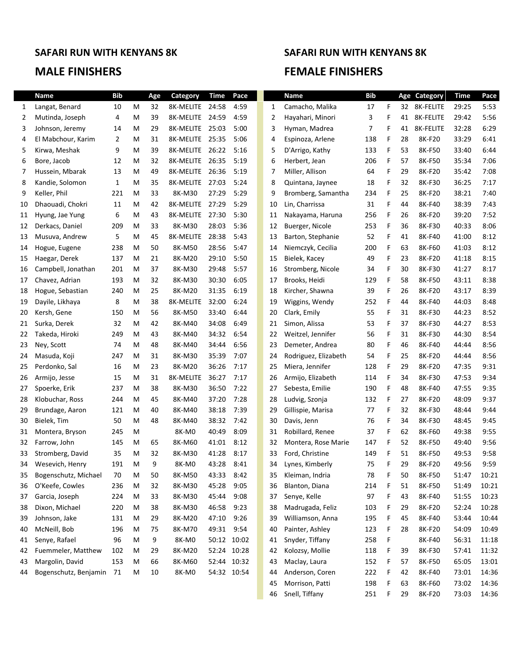## **MALE FINISHERS FEMALE FINISHERS**

# **SAFARI RUN WITH KENYANS 8K SAFARI RUN WITH KENYANS 8K**

46 Snell, Tiffany 251 F 29 8K-F20 73:03 14:36

|    | <b>Name</b>           | <b>Bib</b>     |   | Age | Category        | <b>Time</b> | Pace |              | <b>Name</b>          | <b>Bib</b> |    |    | Age Category | <b>Time</b> | Pace  |
|----|-----------------------|----------------|---|-----|-----------------|-------------|------|--------------|----------------------|------------|----|----|--------------|-------------|-------|
| 1  | Langat, Benard        | 10             | м | 32  | 8K-MELITE 24:58 |             | 4:59 | $\mathbf{1}$ | Camacho, Malika      | 17         | F. |    | 32 8K-FELITE | 29:25       | 5:53  |
| 2  | Mutinda, Joseph       | 4              | м | 39  | 8K-MELITE       | 24:59       | 4:59 | 2            | Hayahari, Minori     | 3          | F  | 41 | 8K-FELITE    | 29:42       | 5:56  |
| 3  | Johnson, Jeremy       | 14             | м | 29  | 8K-MELITE       | 25:03       | 5:00 | 3            | Hyman, Madrea        | 7          | F  | 41 | 8K-FELITE    | 32:28       | 6:29  |
| 4  | El Mabchour, Karim    | $\overline{2}$ | м | 31  | 8K-MELITE       | 25:35       | 5:06 | 4            | Espinoza, Arlene     | 138        | F  | 28 | 8K-F20       | 33:29       | 6:41  |
| 5  | Kirwa, Meshak         | 9              | м | 39  | 8K-MELITE       | 26:22       | 5:16 | 5            | D'Arrigo, Kathy      | 133        | F  | 53 | 8K-F50       | 33:40       | 6:44  |
| 6  | Bore, Jacob           | 12             | м | 32  | 8K-MELITE       | 26:35       | 5:19 | 6            | Herbert, Jean        | 206        | F  | 57 | 8K-F50       | 35:34       | 7:06  |
| 7  | Hussein, Mbarak       | 13             | м | 49  | 8K-MELITE       | 26:36       | 5:19 | 7            | Miller, Allison      | 64         | F  | 29 | 8K-F20       | 35:42       | 7:08  |
| 8  | Kandie, Solomon       | 1              | м | 35  | 8K-MELITE       | 27:03       | 5:24 | 8            | Quintana, Jaynee     | 18         | F  | 32 | 8K-F30       | 36:25       | 7:17  |
| 9  | Keller, Phil          | 221            | М | 33  | 8K-M30          | 27:29       | 5:29 | 9            | Bromberg, Samantha   | 234        | F  | 25 | 8K-F20       | 38:21       | 7:40  |
| 10 | Dhaouadi, Chokri      | 11             | м | 42  | 8K-MELITE       | 27:29       | 5:29 | 10           | Lin, Charrissa       | 31         | F  | 44 | 8K-F40       | 38:39       | 7:43  |
| 11 | Hyung, Jae Yung       | 6              | м | 43  | 8K-MELITE       | 27:30       | 5:30 | 11           | Nakayama, Haruna     | 256        | F  | 26 | 8K-F20       | 39:20       | 7:52  |
| 12 | Derkacs, Daniel       | 209            | М | 33  | 8K-M30          | 28:03       | 5:36 | 12           | Buerger, Nicole      | 253        | F  | 36 | 8K-F30       | 40:33       | 8:06  |
| 13 | Musuva, Andrew        | 5              | м | 45  | 8K-MELITE       | 28:38       | 5:43 | 13           | Barton, Stephanie    | 52         | F  | 41 | 8K-F40       | 41:00       | 8:12  |
| 14 | Hogue, Eugene         | 238            | м | 50  | 8K-M50          | 28:56       | 5:47 | 14           | Niemczyk, Cecilia    | 200        | F  | 63 | 8K-F60       | 41:03       | 8:12  |
| 15 | Haegar, Derek         | 137            | м | 21  | 8K-M20          | 29:10       | 5:50 | 15           | Bielek, Kacey        | 49         | F  | 23 | 8K-F20       | 41:18       | 8:15  |
| 16 | Campbell, Jonathan    | 201            | M | 37  | 8K-M30          | 29:48       | 5:57 | 16           | Stromberg, Nicole    | 34         | F  | 30 | 8K-F30       | 41:27       | 8:17  |
| 17 | Chavez, Adrian        | 193            | M | 32  | 8K-M30          | 30:30       | 6:05 | 17           | Brooks, Heidi        | 129        | F  | 58 | 8K-F50       | 43:11       | 8:38  |
| 18 | Hogue, Sebastian      | 240            | М | 25  | 8K-M20          | 31:35       | 6:19 | 18           | Kircher, Shawna      | 39         | F  | 26 | 8K-F20       | 43:17       | 8:39  |
| 19 | Dayile, Likhaya       | 8              | M | 38  | 8K-MELITE       | 32:00       | 6:24 | 19           | Wiggins, Wendy       | 252        | F  | 44 | 8K-F40       | 44:03       | 8:48  |
| 20 | Kersh, Gene           | 150            | М | 56  | 8K-M50          | 33:40       | 6:44 | 20           | Clark, Emily         | 55         | F  | 31 | 8K-F30       | 44:23       | 8:52  |
| 21 | Surka, Derek          | 32             | м | 42  | 8K-M40          | 34:08       | 6:49 | 21           | Simon, Alissa        | 53         | F  | 37 | 8K-F30       | 44:27       | 8:53  |
| 22 | Takeda, Hiroki        | 249            | М | 43  | 8K-M40          | 34:32       | 6:54 | 22           | Weitzel, Jennifer    | 56         | F  | 31 | 8K-F30       | 44:30       | 8:54  |
| 23 | Ney, Scott            | 74             | M | 48  | 8K-M40          | 34:44       | 6:56 | 23           | Demeter, Andrea      | 80         | F  | 46 | 8K-F40       | 44:44       | 8:56  |
| 24 | Masuda, Koji          | 247            | м | 31  | 8K-M30          | 35:39       | 7:07 | 24           | Rodriguez, Elizabeth | 54         | F  | 25 | 8K-F20       | 44:44       | 8:56  |
| 25 | Perdonko, Sal         | 16             | м | 23  | 8K-M20          | 36:26       | 7:17 | 25           | Miera, Jennifer      | 128        | F  | 29 | 8K-F20       | 47:35       | 9:31  |
| 26 | Armijo, Jesse         | 15             | м | 31  | 8K-MELITE       | 36:27       | 7:17 | 26           | Armijo, Elizabeth    | 114        | F  | 34 | 8K-F30       | 47:53       | 9:34  |
| 27 | Spoerke, Erik         | 237            | м | 38  | 8K-M30          | 36:50       | 7:22 | 27           | Sebesta, Emilie      | 190        | F  | 48 | 8K-F40       | 47:55       | 9:35  |
| 28 | Klobuchar, Ross       | 244            | м | 45  | 8K-M40          | 37:20       | 7:28 | 28           | Ludvig, Szonja       | 132        | F  | 27 | 8K-F20       | 48:09       | 9:37  |
| 29 | Brundage, Aaron       | 121            | М | 40  | 8K-M40          | 38:18       | 7:39 | 29           | Gillispie, Marisa    | 77         | F  | 32 | 8K-F30       | 48:44       | 9:44  |
| 30 | Bielek, Tim           | 50             | м | 48  | 8K-M40          | 38:32       | 7:42 | 30           | Davis, Jenn          | 76         | F  | 34 | 8K-F30       | 48:45       | 9:45  |
| 31 | Montera, Bryson       | 245            | М |     | 8K-M0           | 40:49       | 8:09 | 31           | Robillard, Renee     | 37         | F  | 62 | 8K-F60       | 49:38       | 9:55  |
| 32 | Farrow, John          | 145            | М | 65  | 8K-M60          | 41:01       | 8:12 | 32           | Montera, Rose Marie  | 147        | F  | 52 | 8K-F50       | 49:40       | 9:56  |
| 33 | Stromberg, David      | 35             | м | 32  | 8K-M30          | 41:28       | 8:17 | 33           | Ford, Christine      | 149        | F  | 51 | 8K-F50       | 49:53       | 9:58  |
| 34 | Wesevich, Henry       | 191            | M | 9   | 8K-M0           | 43:28       | 8:41 | 34           | Lynes, Kimberly      | 75         | F  | 29 | 8K-F20       | 49:56       | 9:59  |
| 35 | Bogenschutz, Michael  | 70             | M | 50  | 8K-M50          | 43:33       | 8:42 | 35           | Kleiman, Indria      | 78         | F  | 50 | 8K-F50       | 51:47       | 10:21 |
| 36 | O'Keefe, Cowles       | 236            | M | 32  | 8K-M30          | 45:28       | 9:05 | 36           | Blanton, Diana       | 214        | F  | 51 | 8K-F50       | 51:49       | 10:21 |
| 37 | Garcia, Joseph        | 224            | М | 33  | 8K-M30          | 45:44       | 9:08 | 37           | Senye, Kelle         | 97         | F  | 43 | 8K-F40       | 51:55       | 10:23 |
| 38 | Dixon, Michael        | 220            | M | 38  | 8K-M30          | 46:58       | 9:23 | 38           | Madrugada, Feliz     | 103        | F  | 29 | 8K-F20       | 52:24       | 10:28 |
| 39 | Johnson, Jake         | 131            | M | 29  | 8K-M20          | 47:10       | 9:26 | 39           | Williamson, Anna     | 195        | F  | 45 | 8K-F40       | 53:44       | 10:44 |
| 40 | McNeill, Bob          | 196            | M | 75  | 8K-M70          | 49:31       | 9:54 | 40           | Painter, Ashley      | 123        | F  | 28 | 8K-F20       | 54:09       | 10:49 |
| 41 | Senye, Rafael         | 96             | M | 9   | 8K-M0           | 50:12 10:02 |      | 41           | Snyder, Tiffany      | 258        | F  |    | 8K-F40       | 56:31       | 11:18 |
| 42 | Fuemmeler, Matthew    | 102            | M | 29  | 8K-M20          | 52:24 10:28 |      | 42           | Kolozsy, Mollie      | 118        | F  | 39 | 8K-F30       | 57:41       | 11:32 |
| 43 | Margolin, David       | 153            | M | 66  | 8K-M60          | 52:44 10:32 |      | 43           | Maclay, Laura        | 152        | F  | 57 | 8K-F50       | 65:05       | 13:01 |
| 44 | Bogenschutz, Benjamin | -71            | M | 10  | 8K-M0           | 54:32 10:54 |      | 44           | Anderson, Coren      | 222        | F  | 42 | 8K-F40       | 73:01       | 14:36 |
|    |                       |                |   |     |                 |             |      |              | 45 Morrison, Patti   | 198        | -F | 63 | 8K-F60       | 73:02 14:36 |       |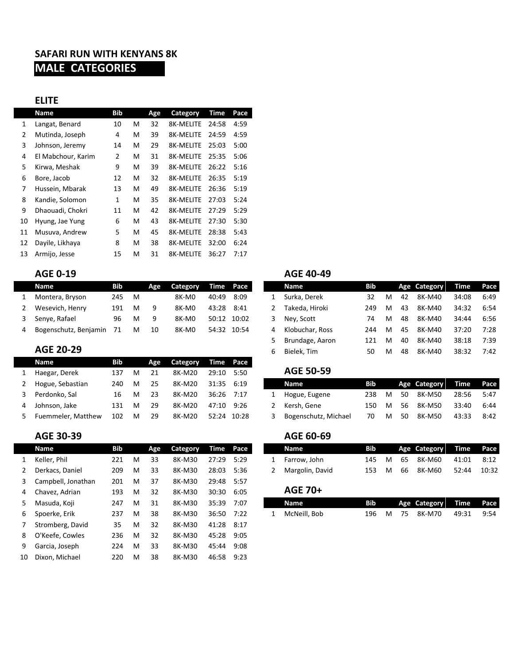# **SAFARI RUN WITH KENYANS 8K MALE CATEGORIES**

### **ELITE**

|    | <b>Name</b>        | <b>Bib</b> |   | Age | Category         | Time  | Pace |
|----|--------------------|------------|---|-----|------------------|-------|------|
| 1  | Langat, Benard     | 10         | M | 32  | <b>8K-MELITE</b> | 24:58 | 4:59 |
| 2  | Mutinda, Joseph    | 4          | м | 39  | <b>8K-MELITE</b> | 24:59 | 4:59 |
| 3  | Johnson, Jeremy    | 14         | M | 29  | 8K-MELITE        | 25:03 | 5:00 |
| 4  | El Mabchour, Karim | 2          | M | 31  | <b>8K-MELITE</b> | 25:35 | 5:06 |
| 5  | Kirwa, Meshak      | 9          | м | 39  | <b>8K-MELITE</b> | 26:22 | 5:16 |
| 6  | Bore, Jacob        | 12         | м | 32  | 8K-MELITE        | 26:35 | 5:19 |
| 7  | Hussein, Mbarak    | 13         | м | 49  | <b>8K-MELITE</b> | 26:36 | 5:19 |
| 8  | Kandie, Solomon    | 1          | м | 35  | <b>8K-MELITE</b> | 27:03 | 5:24 |
| 9  | Dhaouadi, Chokri   | 11         | м | 42  | 8K-MELITE        | 27:29 | 5:29 |
| 10 | Hyung, Jae Yung    | 6          | м | 43  | <b>8K-MELITE</b> | 27:30 | 5:30 |
| 11 | Musuva, Andrew     | 5          | м | 45  | 8K-MELITE        | 28:38 | 5:43 |
| 12 | Dayile, Likhaya    | 8          | M | 38  | <b>8K-MELITE</b> | 32:00 | 6:24 |
| 13 | Armijo, Jesse      | 15         | M | 31  | <b>8K-MELITE</b> | 36:27 | 7:17 |

| <b>AGE 0-19</b>       |     |   |     |          |       |             |   | <b>AGE 40-49</b> |     |   |    |              |             |      |
|-----------------------|-----|---|-----|----------|-------|-------------|---|------------------|-----|---|----|--------------|-------------|------|
| Name                  | Bib |   | Age | Category |       | Time Pace   |   | Name             | Bib |   |    | Age Category | <b>Time</b> | Pace |
| Montera, Bryson       | 245 | M |     | 8K-MO    | 40:49 | 8:09        |   | Surka, Derek     | 32  | M | 42 | 8K-M40       | 34:08       | 6:49 |
| Wesevich, Henry       | 191 | м |     | 8K-MO    | 43:28 | 8:41        |   | Takeda, Hiroki   | 249 | M | 43 | 8K-M40       | 34:32       | 6:54 |
| Senye, Rafael         | 96  | M | q   | 8K-M0    |       | 50:12 10:02 |   | Ney, Scott       | 74  | M | 48 | 8K-M40       | 34:44       | 6:56 |
| Bogenschutz, Benjamin | 71  | М | 10  | 8K-MO    |       | 54:32 10:54 | 4 | Klobuchar, Ross  | 244 | M | 45 | 8K-M40       | 37:20       | 7:28 |

| Name               | Bib  |   | Age | <b>Category</b> |            | Time Pace |                      |            |   |    |              |       |      |
|--------------------|------|---|-----|-----------------|------------|-----------|----------------------|------------|---|----|--------------|-------|------|
| Haegar, Derek      | 137  | M | 21  | 8K-M20          | 29:10      | 5:50      | <b>AGE 50-59</b>     |            |   |    |              |       |      |
| Hogue, Sebastian   | 240. | M | 25  | 8K-M20          | 31:35      | 6:19      | <b>Name</b>          | <b>Bib</b> |   |    | Age Category | Time  | Pace |
| Perdonko, Sal      | 16   | M | 23  | 8K-M20          | 36:26      | 7:17      | Hogue, Eugene        | 238        | M | 50 | 8K-M50       | 28:56 | 5:47 |
| Johnson, Jake      | 131  | M | 29  | 8K-M20          | 47:10 9:26 |           | Kersh. Gene          | 150        | M | 56 | 8K-M50       | 33:40 | 6:44 |
| Fuemmeler, Matthew | 102  | M | 29  | 8K-M20          | 52:24      | 10:28     | Bogenschutz, Michael | 70         | M | 50 | 8K-M50       | 43:33 | 8:42 |

# **AGE 30-39 AGE 60-69**

|    | Name               | Bib |   | Age | <b>Category</b> |       | Time Pace |   | Name            | Bib |   |    | Age Category | Time  | Pace  |
|----|--------------------|-----|---|-----|-----------------|-------|-----------|---|-----------------|-----|---|----|--------------|-------|-------|
|    | Keller, Phil       | 221 | M | 33  | 8K-M30          | 27:29 | 5:29      | 1 | Farrow, John    | 145 | M | 65 | 8K-M60       | 41:01 | 8:12  |
|    | Derkacs, Daniel    | 209 | M | 33  | 8K-M30          | 28:03 | 5:36      | 2 | Margolin, David | 153 | M | 66 | 8K-M60       | 52:44 | 10:32 |
| 3  | Campbell, Jonathan | 201 | м | 37  | 8K-M30          | 29:48 | 5:57      |   |                 |     |   |    |              |       |       |
| 4  | Chavez, Adrian     | 193 | м | 32  | 8K-M30          | 30:30 | 6:05      |   | <b>AGE 70+</b>  |     |   |    |              |       |       |
| 5  | Masuda, Koji       | 247 | M | 31  | 8K-M30          | 35:39 | 7:07      |   | <b>Name</b>     | Bib |   |    | Age Category | Time  | Pace  |
| 6  | Spoerke, Erik      | 237 | M | 38  | 8K-M30          | 36:50 | 7:22      | 1 | McNeill, Bob    | 196 | M | 75 | 8K-M70       | 49:31 | 9:54  |
|    | Stromberg, David   | 35  | M | 32  | 8K-M30          | 41:28 | -8:17     |   |                 |     |   |    |              |       |       |
| 8  | O'Keefe, Cowles    | 236 | M | 32  | 8K-M30          | 45:28 | 9:05      |   |                 |     |   |    |              |       |       |
| 9  | Garcia, Joseph     | 224 | M | 33  | 8K-M30          | 45:44 | 9:08      |   |                 |     |   |    |              |       |       |
| 10 | Dixon, Michael     | 220 | M | 38  | 8K-M30          | 46:58 | 9:23      |   |                 |     |   |    |              |       |       |

|              | <b>Name</b>             | <b>Bib</b> |   | Age | Category |       | Time Pace   |    | <b>Name</b>     | Bib |   |    | Age Category | Time  | Pace |
|--------------|-------------------------|------------|---|-----|----------|-------|-------------|----|-----------------|-----|---|----|--------------|-------|------|
|              | Montera, Bryson         | 245        | M |     | 8K-MO    | 40:49 | 8:09        |    | Surka, Derek    | 32  | M | 42 | 8K-M40       | 34:08 | 6:49 |
| $\mathbf{2}$ | Wesevich, Henry         | 191        | M | 9   | 8K-MO    | 43:28 | 8:41        |    | Takeda. Hiroki  | 249 | м | 43 | 8K-M40       | 34:32 | 6:54 |
|              | 3 Senye, Rafael         | 96         | M | -9  | 8K-MO    | 50:12 | 10:02       | 3. | Nev, Scott      | 74  | M | 48 | 8K-M40       | 34:44 | 6:56 |
|              | 4 Bogenschutz, Benjamin | - 71       | M | 10  | 8K-MO    |       | 54:32 10:54 | 4  | Klobuchar, Ross | 244 | M | 45 | 8K-M40       | 37:20 | 7:28 |
|              |                         |            |   |     |          |       |             |    | Brundage, Aaron | 121 | м | 40 | 8K-M40       | 38:18 | 7:39 |
|              | AGE 20-29               |            |   |     |          |       |             | 6  | Bielek. Tim     | 50  | М | 48 | 8K-M40       | 38:32 | 7:42 |
|              | . .                     | --         |   |     |          |       |             |    |                 |     |   |    |              |       |      |

|   | AGE 50-59            |      |   |      |                        |       |      |
|---|----------------------|------|---|------|------------------------|-------|------|
|   | Name                 | Bib. |   |      | Age Category Time Pace |       |      |
|   | 1 Hogue, Eugene      | 238  | м | 50.  | 8K-M50                 | 28:56 | 5:47 |
|   | Kersh, Gene          | 150  | м | 56 - | 8K-M50                 | 33:40 | 6:44 |
| 3 | Bogenschutz, Michael | 70   | м | 50   | 8K-M50                 | 43:33 | 8:42 |

| Name            | Bib |   |     | Age Category Time Pace |       |      |  | Name            | <b>Bib</b> |          |    | <b>Age Category</b> | Time Pace |       |
|-----------------|-----|---|-----|------------------------|-------|------|--|-----------------|------------|----------|----|---------------------|-----------|-------|
| Keller, Phil    |     | м | 33  | 8K-M30                 | 27:29 | 5:29 |  | Farrow. John    | 145        |          |    | M 65 8K-M60         | 41:01     | 8:12  |
| Derkacs, Daniel | 209 | M | -33 | 8K-M30                 | 28:03 | 5:36 |  | Margolin, David | 153        | <b>M</b> | 66 | 8K-M60              | 52:44     | 10:32 |

### $AGE$  70+

| Masuda, Koji    | 247 | M | 31 | 8K-M30 | 35:39 | 7:07 | Name         | <b>Bib</b> |   |    | Age Category | <b>Time</b> | Pace |
|-----------------|-----|---|----|--------|-------|------|--------------|------------|---|----|--------------|-------------|------|
| 6 Spoerke, Erik | 237 | M | 38 | 8K-M30 | 36:50 | 7:22 | McNeill. Bob | 196        | м | 75 | 8K-M70       | 49:31       | 9:54 |